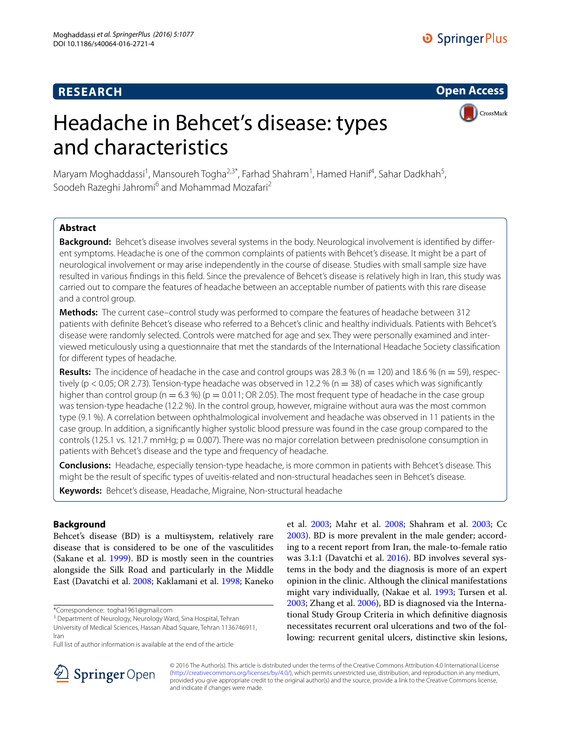## **RESEARCH**

**Open Access**

# Headache in Behcet's disease: types and characteristics

**CrossMark** 

Maryam Moghaddassi<sup>1</sup>, Mansoureh Togha<sup>2,3\*</sup>, Farhad Shahram<sup>1</sup>, Hamed Hanif<sup>4</sup>, Sahar Dadkhah<sup>5</sup>, Soodeh Razeghi Jahromi<sup>6</sup> and Mohammad Mozafari<sup>2</sup>

## **Abstract**

**Background:** Behcet's disease involves several systems in the body. Neurological involvement is identified by different symptoms. Headache is one of the common complaints of patients with Behcet's disease. It might be a part of neurological involvement or may arise independently in the course of disease. Studies with small sample size have resulted in various findings in this field. Since the prevalence of Behcet's disease is relatively high in Iran, this study was carried out to compare the features of headache between an acceptable number of patients with this rare disease and a control group.

**Methods:** The current case–control study was performed to compare the features of headache between 312 patients with definite Behcet's disease who referred to a Behcet's clinic and healthy individuals. Patients with Behcet's disease were randomly selected. Controls were matched for age and sex. They were personally examined and interviewed meticulously using a questionnaire that met the standards of the International Headache Society classification for different types of headache.

**Results:** The incidence of headache in the case and control groups was 28.3 % ( $n = 120$ ) and 18.6 % ( $n = 59$ ), respectively ( $p < 0.05$ ; OR 2.73). Tension-type headache was observed in 12.2 % ( $n = 38$ ) of cases which was significantly higher than control group ( $n = 6.3$ %) ( $p = 0.011$ ; OR 2.05). The most frequent type of headache in the case group was tension-type headache (12.2 %). In the control group, however, migraine without aura was the most common type (9.1 %). A correlation between ophthalmological involvement and headache was observed in 11 patients in the case group. In addition, a significantly higher systolic blood pressure was found in the case group compared to the controls (125.1 vs. 121.7 mmHg;  $p = 0.007$ ). There was no major correlation between prednisolone consumption in patients with Behcet's disease and the type and frequency of headache.

**Conclusions:** Headache, especially tension-type headache, is more common in patients with Behcet's disease. This might be the result of specific types of uveitis-related and non-structural headaches seen in Behcet's disease.

**Keywords:** Behcet's disease, Headache, Migraine, Non-structural headache

## **Background**

Behcet's disease (BD) is a multisystem, relatively rare disease that is considered to be one of the vasculitides (Sakane et al. [1999\)](#page-6-0). BD is mostly seen in the countries alongside the Silk Road and particularly in the Middle East (Davatchi et al. [2008;](#page-6-1) Kaklamani et al. [1998;](#page-6-2) Kaneko

et al. [2003;](#page-6-3) Mahr et al. [2008](#page-6-4); Shahram et al. [2003;](#page-6-5) Cc [2003](#page-6-6)). BD is more prevalent in the male gender; according to a recent report from Iran, the male-to-female ratio was 3.1:1 (Davatchi et al. [2016\)](#page-6-7). BD involves several systems in the body and the diagnosis is more of an expert opinion in the clinic. Although the clinical manifestations might vary individually, (Nakae et al. [1993](#page-6-8); Tursen et al. [2003](#page-6-9); Zhang et al. [2006](#page-6-10)), BD is diagnosed via the International Study Group Criteria in which definitive diagnosis necessitates recurrent oral ulcerations and two of the following: recurrent genital ulcers, distinctive skin lesions,



© 2016 The Author(s). This article is distributed under the terms of the Creative Commons Attribution 4.0 International License [\(http://creativecommons.org/licenses/by/4.0/\)](http://creativecommons.org/licenses/by/4.0/), which permits unrestricted use, distribution, and reproduction in any medium, provided you give appropriate credit to the original author(s) and the source, provide a link to the Creative Commons license, and indicate if changes were made.

<sup>\*</sup>Correspondence: togha1961@gmail.com

<sup>&</sup>lt;sup>3</sup> Department of Neurology, Neurology Ward, Sina Hospital, Tehran University of Medical Sciences, Hassan Abad Square, Tehran 1136746911, Iran

Full list of author information is available at the end of the article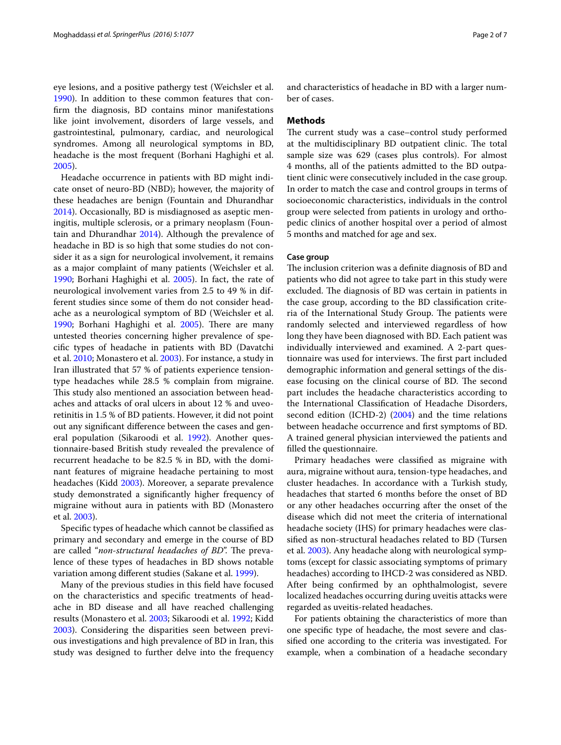eye lesions, and a positive pathergy test (Weichsler et al. [1990](#page-6-11)). In addition to these common features that confirm the diagnosis, BD contains minor manifestations like joint involvement, disorders of large vessels, and gastrointestinal, pulmonary, cardiac, and neurological syndromes. Among all neurological symptoms in BD, headache is the most frequent (Borhani Haghighi et al. [2005](#page-6-12)).

Headache occurrence in patients with BD might indicate onset of neuro-BD (NBD); however, the majority of these headaches are benign (Fountain and Dhurandhar [2014](#page-6-13)). Occasionally, BD is misdiagnosed as aseptic meningitis, multiple sclerosis, or a primary neoplasm (Fountain and Dhurandhar [2014\)](#page-6-13). Although the prevalence of headache in BD is so high that some studies do not consider it as a sign for neurological involvement, it remains as a major complaint of many patients (Weichsler et al. [1990](#page-6-11); Borhani Haghighi et al. [2005\)](#page-6-12). In fact, the rate of neurological involvement varies from 2.5 to 49 % in different studies since some of them do not consider headache as a neurological symptom of BD (Weichsler et al. [1990](#page-6-11); Borhani Haghighi et al. [2005](#page-6-12)). There are many untested theories concerning higher prevalence of specific types of headache in patients with BD (Davatchi et al. [2010;](#page-6-14) Monastero et al. [2003\)](#page-6-15). For instance, a study in Iran illustrated that 57 % of patients experience tensiontype headaches while 28.5 % complain from migraine. This study also mentioned an association between headaches and attacks of oral ulcers in about 12 % and uveoretinitis in 1.5 % of BD patients. However, it did not point out any significant difference between the cases and general population (Sikaroodi et al. [1992\)](#page-6-16). Another questionnaire-based British study revealed the prevalence of recurrent headache to be 82.5 % in BD, with the dominant features of migraine headache pertaining to most headaches (Kidd [2003](#page-6-17)). Moreover, a separate prevalence study demonstrated a significantly higher frequency of migraine without aura in patients with BD (Monastero et al. [2003\)](#page-6-15).

Specific types of headache which cannot be classified as primary and secondary and emerge in the course of BD are called "*non*-*structural headaches of BD*". The prevalence of these types of headaches in BD shows notable variation among different studies (Sakane et al. [1999](#page-6-0)).

Many of the previous studies in this field have focused on the characteristics and specific treatments of headache in BD disease and all have reached challenging results (Monastero et al. [2003](#page-6-15); Sikaroodi et al. [1992](#page-6-16); Kidd [2003](#page-6-17)). Considering the disparities seen between previous investigations and high prevalence of BD in Iran, this study was designed to further delve into the frequency and characteristics of headache in BD with a larger number of cases.

#### **Methods**

The current study was a case–control study performed at the multidisciplinary BD outpatient clinic. The total sample size was 629 (cases plus controls). For almost 4 months, all of the patients admitted to the BD outpatient clinic were consecutively included in the case group. In order to match the case and control groups in terms of socioeconomic characteristics, individuals in the control group were selected from patients in urology and orthopedic clinics of another hospital over a period of almost 5 months and matched for age and sex.

#### **Case group**

The inclusion criterion was a definite diagnosis of BD and patients who did not agree to take part in this study were excluded. The diagnosis of BD was certain in patients in the case group, according to the BD classification criteria of the International Study Group. The patients were randomly selected and interviewed regardless of how long they have been diagnosed with BD. Each patient was individually interviewed and examined. A 2-part questionnaire was used for interviews. The first part included demographic information and general settings of the disease focusing on the clinical course of BD. The second part includes the headache characteristics according to the International Classification of Headache Disorders, second edition (ICHD-2) ([2004](#page-6-18)) and the time relations between headache occurrence and first symptoms of BD. A trained general physician interviewed the patients and filled the questionnaire.

Primary headaches were classified as migraine with aura, migraine without aura, tension-type headaches, and cluster headaches. In accordance with a Turkish study, headaches that started 6 months before the onset of BD or any other headaches occurring after the onset of the disease which did not meet the criteria of international headache society (IHS) for primary headaches were classified as non-structural headaches related to BD (Tursen et al. [2003](#page-6-9)). Any headache along with neurological symptoms (except for classic associating symptoms of primary headaches) according to IHCD-2 was considered as NBD. After being confirmed by an ophthalmologist, severe localized headaches occurring during uveitis attacks were regarded as uveitis-related headaches.

For patients obtaining the characteristics of more than one specific type of headache, the most severe and classified one according to the criteria was investigated. For example, when a combination of a headache secondary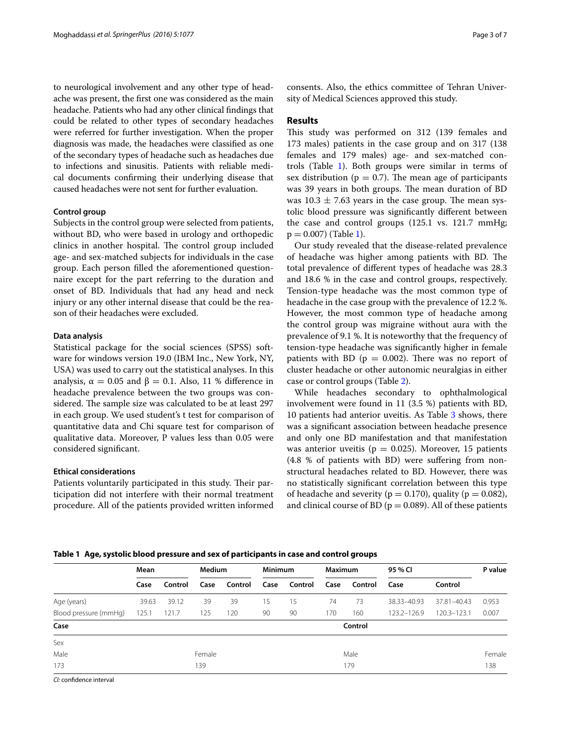to neurological involvement and any other type of headache was present, the first one was considered as the main headache. Patients who had any other clinical findings that could be related to other types of secondary headaches were referred for further investigation. When the proper diagnosis was made, the headaches were classified as one of the secondary types of headache such as headaches due to infections and sinusitis. Patients with reliable medical documents confirming their underlying disease that caused headaches were not sent for further evaluation.

### **Control group**

Subjects in the control group were selected from patients, without BD, who were based in urology and orthopedic clinics in another hospital. The control group included age- and sex-matched subjects for individuals in the case group. Each person filled the aforementioned questionnaire except for the part referring to the duration and onset of BD. Individuals that had any head and neck injury or any other internal disease that could be the reason of their headaches were excluded.

#### **Data analysis**

Statistical package for the social sciences (SPSS) software for windows version 19.0 (IBM Inc., New York, NY, USA) was used to carry out the statistical analyses. In this analysis,  $\alpha = 0.05$  and  $\beta = 0.1$ . Also, 11 % difference in headache prevalence between the two groups was considered. The sample size was calculated to be at least 297 in each group. We used student's t test for comparison of quantitative data and Chi square test for comparison of qualitative data. Moreover, P values less than 0.05 were considered significant.

## **Ethical considerations**

Patients voluntarily participated in this study. Their participation did not interfere with their normal treatment procedure. All of the patients provided written informed consents. Also, the ethics committee of Tehran University of Medical Sciences approved this study.

### **Results**

This study was performed on 312 (139 females and 173 males) patients in the case group and on 317 (138 females and 179 males) age- and sex-matched controls (Table [1\)](#page-2-0). Both groups were similar in terms of sex distribution ( $p = 0.7$ ). The mean age of participants was 39 years in both groups. The mean duration of BD was  $10.3 \pm 7.63$  years in the case group. The mean systolic blood pressure was significantly different between the case and control groups (125.1 vs. 121.7 mmHg;  $p = 0.007$ ) (Table [1](#page-2-0)).

Our study revealed that the disease-related prevalence of headache was higher among patients with BD. The total prevalence of different types of headache was 28.3 and 18.6 % in the case and control groups, respectively. Tension-type headache was the most common type of headache in the case group with the prevalence of 12.2 %. However, the most common type of headache among the control group was migraine without aura with the prevalence of 9.1 %. It is noteworthy that the frequency of tension-type headache was significantly higher in female patients with BD ( $p = 0.002$ ). There was no report of cluster headache or other autonomic neuralgias in either case or control groups (Table [2\)](#page-3-0).

While headaches secondary to ophthalmological involvement were found in 11 (3.5 %) patients with BD, 10 patients had anterior uveitis. As Table [3](#page-3-1) shows, there was a significant association between headache presence and only one BD manifestation and that manifestation was anterior uveitis ( $p = 0.025$ ). Moreover, 15 patients (4.8 % of patients with BD) were suffering from nonstructural headaches related to BD. However, there was no statistically significant correlation between this type of headache and severity ( $p = 0.170$ ), quality ( $p = 0.082$ ), and clinical course of BD ( $p = 0.089$ ). All of these patients

<span id="page-2-0"></span>**Table 1 Age, systolic blood pressure and sex of participants in case and control groups**

|                       | Mean  |         | Medium |         | <b>Minimum</b> |         | <b>Maximum</b> |         | 95 % CI     |             | P value |
|-----------------------|-------|---------|--------|---------|----------------|---------|----------------|---------|-------------|-------------|---------|
|                       | Case  | Control | Case   | Control | Case           | Control | Case           | Control | Case        | Control     |         |
| Age (years)           | 39.63 | 39.12   | 39     | 39      | 15             | 15      | 74             | 73      | 38.33-40.93 | 37.81-40.43 | 0.953   |
| Blood pressure (mmHg) | 125.1 | 121.7   | 125    | 120     | 90             | 90      | 170            | 160     | 123.2-126.9 | 120.3-123.1 | 0.007   |
| Case                  |       |         |        |         |                |         |                | Control |             |             |         |
| Sex                   |       |         |        |         |                |         |                |         |             |             |         |
| Male                  |       |         | Female |         |                |         |                | Male    |             |             | Female  |
| 173                   |       |         | 139    |         |                |         |                | 179     |             |             | 138     |

*CI:* confidence interval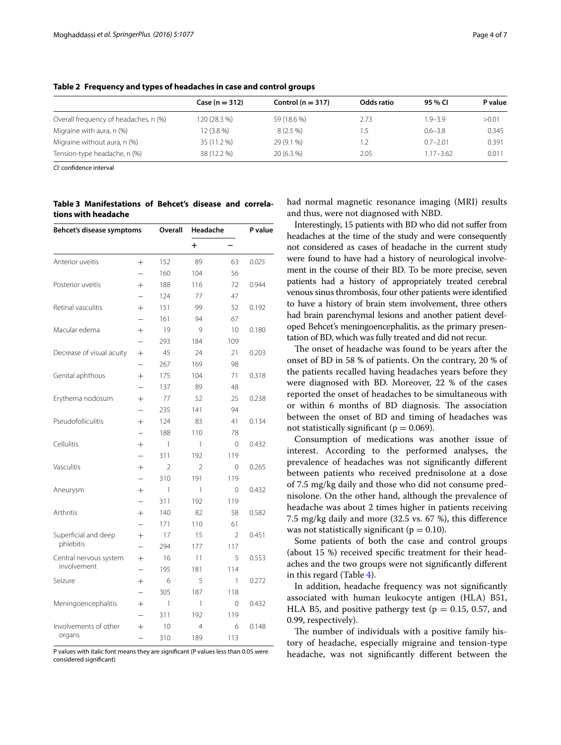|                                       | $Case (n = 312)$ | Control ( $n = 317$ ) | Odds ratio | 95 % CI       | P value |
|---------------------------------------|------------------|-----------------------|------------|---------------|---------|
| Overall frequency of headaches, n (%) | 120 (28.3 %)     | 59 (18.6 %)           | 2.73       | $1.9 - 3.9$   | >0.01   |
| Migraine with aura, n (%)             | 12 (3.8 %)       | $8(2.5\%)$            |            | $0.6 - 3.8$   | 0.345   |
| Migraine without aura, n (%)          | 35 (11.2 %)      | $29(9.1\%)$           | 1.2        | $0.7 - 2.01$  | 0.391   |
| Tension-type headache, n (%)          | 38 (12.2 %)      | 20 (6.3 %)            | 2.05       | $1.17 - 3.62$ | 0.011   |

<span id="page-3-0"></span>**Table 2 Frequency and types of headaches in case and control groups**

*CI:* confidence interval

## <span id="page-3-1"></span>**Table 3 Manifestations of Behcet's disease and correlations with headache**

| Behcet's disease symptoms | Overall                  | Headache       |                | P value        |       |
|---------------------------|--------------------------|----------------|----------------|----------------|-------|
|                           |                          |                | $\ddot{}$      |                |       |
| Anterior uveitis          | $+$                      | 152            | 89             | 63             | 0.025 |
|                           |                          | 160            | 104            | 56             |       |
| Posterior uveitis         | $+$                      | 188            | 116            | 72             | 0.944 |
|                           |                          | 124            | 77             | 47             |       |
| Retinal vasculitis        | $^{+}$                   | 151            | 99             | 52             | 0.192 |
|                           |                          | 161            | 94             | 67             |       |
| Macular edema             | $^{+}$                   | 19             | 9              | 10             | 0.180 |
|                           |                          | 293            | 184            | 109            |       |
| Decrease of visual acuity | $+$                      | 45             | 24             | 21             | 0.203 |
|                           |                          | 267            | 169            | 98             |       |
| Genital aphthous          | $^{+}$                   | 175            | 104            | 71             | 0.318 |
|                           |                          | 137            | 89             | 48             |       |
| Erythema nodosum          | $^{+}$                   | 77             | 52             | 25             | 0.238 |
|                           |                          | 235            | 141            | 94             |       |
| Pseudofolliculitis        | $^{+}$                   | 124            | 83             | 41             | 0.134 |
|                           |                          | 188            | 110            | 78             |       |
| Cellulitis                | $^+$                     | 1              | 1              | $\Omega$       | 0.432 |
|                           |                          | 311            | 192            | 119            |       |
| Vasculitis                | $^+$                     | $\overline{2}$ | $\overline{2}$ | 0              | 0.265 |
|                           |                          | 310            | 191            | 119            |       |
| Aneurysm                  | $^+$                     | 1              | 1              | 0              | 0.432 |
|                           |                          | 311            | 192            | 119            |       |
| Arthritis                 | $^{+}$                   | 140            | 82             | 58             | 0.582 |
|                           |                          | 171            | 110            | 61             |       |
| Superficial and deep      | $^{+}$                   | 17             | 15             | $\overline{2}$ | 0.451 |
| phlebitis                 | $\overline{\phantom{0}}$ | 294            | 177            | 117            |       |
| Central nervous system    | $^{+}$                   | 16             | 11             | 5              | 0.553 |
| involvement               | $\equiv$                 | 195            | 181            | 114            |       |
| Seizure                   | $^+$                     | 6              | 5              | 1              | 0.272 |
|                           |                          | 305            | 187            | 118            |       |
| Meningoencephalitis       | $^+$                     | 1              | 1              | 0              | 0.432 |
|                           |                          | 311            | 192            | 119            |       |
| Involvements of other     | $^{+}$                   | 10             | $\overline{4}$ | 6              | 0.148 |
| organs                    | $\overline{\phantom{0}}$ | 310            | 189            | 113            |       |

P values with italic font means they are significant (P values less than 0.05 were considered significant)

had normal magnetic resonance imaging (MRI) results and thus, were not diagnosed with NBD.

Interestingly, 15 patients with BD who did not suffer from headaches at the time of the study and were consequently not considered as cases of headache in the current study were found to have had a history of neurological involvement in the course of their BD. To be more precise, seven patients had a history of appropriately treated cerebral venous sinus thrombosis, four other patients were identified to have a history of brain stem involvement, three others had brain parenchymal lesions and another patient developed Behcet's meningoencephalitis, as the primary presentation of BD, which was fully treated and did not recur.

The onset of headache was found to be years after the onset of BD in 58 % of patients. On the contrary, 20 % of the patients recalled having headaches years before they were diagnosed with BD. Moreover, 22 % of the cases reported the onset of headaches to be simultaneous with or within 6 months of BD diagnosis. The association between the onset of BD and timing of headaches was not statistically significant ( $p = 0.069$ ).

Consumption of medications was another issue of interest. According to the performed analyses, the prevalence of headaches was not significantly different between patients who received prednisolone at a dose of 7.5 mg/kg daily and those who did not consume prednisolone. On the other hand, although the prevalence of headache was about 2 times higher in patients receiving 7.5 mg/kg daily and more (32.5 vs. 67 %), this difference was not statistically significant ( $p = 0.10$ ).

Some patients of both the case and control groups (about 15 %) received specific treatment for their headaches and the two groups were not significantly different in this regard (Table  $4$ ).

In addition, headache frequency was not significantly associated with human leukocyte antigen (HLA) B51, HLA B5, and positive pathergy test ( $p = 0.15$ , 0.57, and 0.99, respectively).

The number of individuals with a positive family history of headache, especially migraine and tension-type headache, was not significantly different between the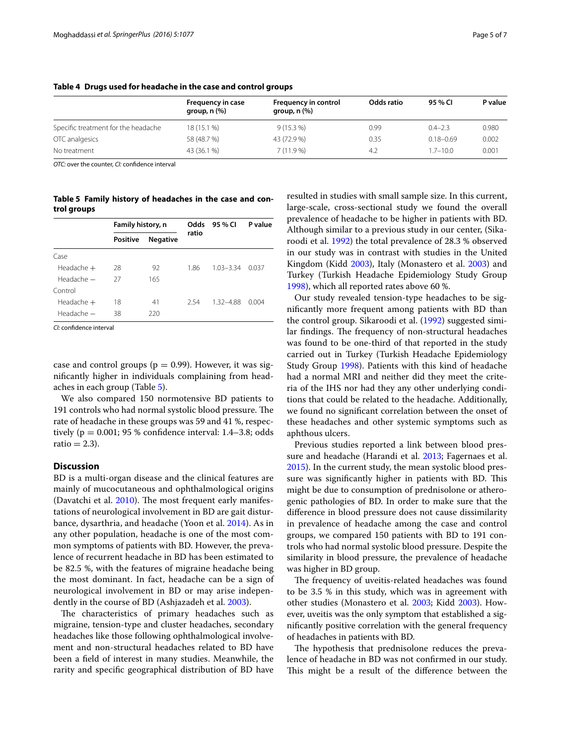|                                     | Frequency in case<br>group, $n$ $(\%)$ | <b>Frequency in control</b><br>group, $n$ $(\%)$ | Odds ratio | 95 % CI       | P value |
|-------------------------------------|----------------------------------------|--------------------------------------------------|------------|---------------|---------|
| Specific treatment for the headache | 18 (15.1 %)                            | $9(15.3\%)$                                      | 0.99       | $0.4 - 2.3$   | 0.980   |
| OTC analgesics                      | 58 (48.7 %)                            | 43 (72.9 %)                                      | 0.35       | $0.18 - 0.69$ | 0.002   |
| No treatment                        | 43 (36.1 %)                            | $7(11.9\%)$                                      | 4.2        | 17–100        | 0.001   |

<span id="page-4-0"></span>**Table 4 Drugs used for headache in the case and control groups**

*OTC:* over the counter, *CI:* confidence interval

<span id="page-4-1"></span>**Table 5 Family history of headaches in the case and control groups**

|              | Family history, n |                 | Odds  | 95 % CI       | P value |  |
|--------------|-------------------|-----------------|-------|---------------|---------|--|
|              | Positive          | <b>Negative</b> | ratio |               |         |  |
| Case         |                   |                 |       |               |         |  |
| Headache $+$ | 28                | 92              | 1.86  | $1.03 - 3.34$ | 0037    |  |
| Headache —   | 27                | 165             |       |               |         |  |
| Control      |                   |                 |       |               |         |  |
| Headache $+$ | 18                | 41              | 2.54  | 1 32-488      | 0.004   |  |
| Headache —   | 38                | 220             |       |               |         |  |
|              |                   |                 |       |               |         |  |

*CI:* confidence interval

case and control groups ( $p = 0.99$ ). However, it was significantly higher in individuals complaining from headaches in each group (Table [5](#page-4-1)).

We also compared 150 normotensive BD patients to 191 controls who had normal systolic blood pressure. The rate of headache in these groups was 59 and 41 %, respectively ( $p = 0.001$ ; 95 % confidence interval: 1.4–3.8; odds ratio  $= 2.3$ ).

## **Discussion**

BD is a multi-organ disease and the clinical features are mainly of mucocutaneous and ophthalmological origins (Davatchi et al. [2010\)](#page-6-14). The most frequent early manifestations of neurological involvement in BD are gait disturbance, dysarthria, and headache (Yoon et al. [2014](#page-6-19)). As in any other population, headache is one of the most common symptoms of patients with BD. However, the prevalence of recurrent headache in BD has been estimated to be 82.5 %, with the features of migraine headache being the most dominant. In fact, headache can be a sign of neurological involvement in BD or may arise independently in the course of BD (Ashjazadeh et al. [2003](#page-6-20)).

The characteristics of primary headaches such as migraine, tension-type and cluster headaches, secondary headaches like those following ophthalmological involvement and non-structural headaches related to BD have been a field of interest in many studies. Meanwhile, the rarity and specific geographical distribution of BD have resulted in studies with small sample size. In this current, large-scale, cross-sectional study we found the overall prevalence of headache to be higher in patients with BD. Although similar to a previous study in our center, (Sikaroodi et al. [1992\)](#page-6-16) the total prevalence of 28.3 % observed in our study was in contrast with studies in the United Kingdom (Kidd [2003](#page-6-17)), Italy (Monastero et al. [2003\)](#page-6-15) and Turkey (Turkish Headache Epidemiology Study Group [1998](#page-6-21)), which all reported rates above 60 %.

Our study revealed tension-type headaches to be significantly more frequent among patients with BD than the control group. Sikaroodi et al. [\(1992](#page-6-16)) suggested similar findings. The frequency of non-structural headaches was found to be one-third of that reported in the study carried out in Turkey (Turkish Headache Epidemiology Study Group [1998](#page-6-21)). Patients with this kind of headache had a normal MRI and neither did they meet the criteria of the IHS nor had they any other underlying conditions that could be related to the headache. Additionally, we found no significant correlation between the onset of these headaches and other systemic symptoms such as aphthous ulcers.

Previous studies reported a link between blood pressure and headache (Harandi et al. [2013;](#page-6-22) Fagernaes et al. [2015](#page-6-23)). In the current study, the mean systolic blood pressure was significantly higher in patients with BD. This might be due to consumption of prednisolone or atherogenic pathologies of BD. In order to make sure that the difference in blood pressure does not cause dissimilarity in prevalence of headache among the case and control groups, we compared 150 patients with BD to 191 controls who had normal systolic blood pressure. Despite the similarity in blood pressure, the prevalence of headache was higher in BD group.

The frequency of uveitis-related headaches was found to be 3.5 % in this study, which was in agreement with other studies (Monastero et al. [2003](#page-6-15); Kidd [2003](#page-6-17)). However, uveitis was the only symptom that established a significantly positive correlation with the general frequency of headaches in patients with BD.

The hypothesis that prednisolone reduces the prevalence of headache in BD was not confirmed in our study. This might be a result of the difference between the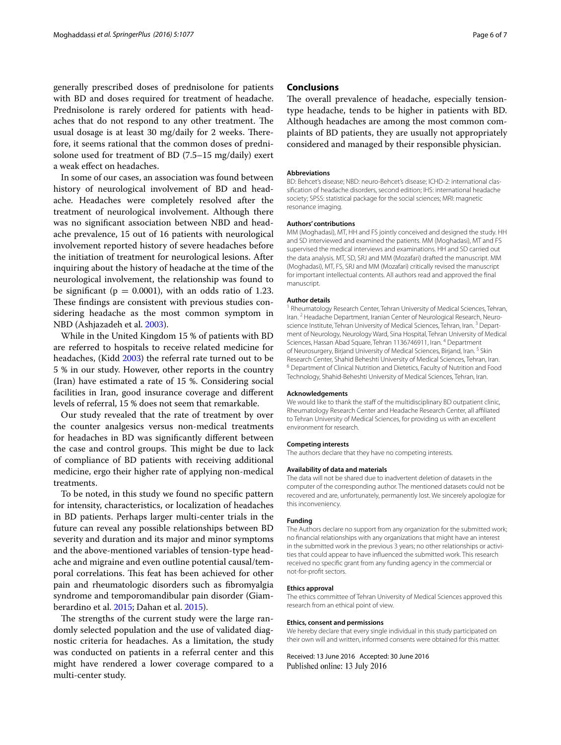generally prescribed doses of prednisolone for patients with BD and doses required for treatment of headache. Prednisolone is rarely ordered for patients with headaches that do not respond to any other treatment. The usual dosage is at least 30 mg/daily for 2 weeks. Therefore, it seems rational that the common doses of prednisolone used for treatment of BD (7.5–15 mg/daily) exert a weak effect on headaches.

In some of our cases, an association was found between history of neurological involvement of BD and headache. Headaches were completely resolved after the treatment of neurological involvement. Although there was no significant association between NBD and headache prevalence, 15 out of 16 patients with neurological involvement reported history of severe headaches before the initiation of treatment for neurological lesions. After inquiring about the history of headache at the time of the neurological involvement, the relationship was found to be significant ( $p = 0.0001$ ), with an odds ratio of 1.23. These findings are consistent with previous studies considering headache as the most common symptom in NBD (Ashjazadeh et al. [2003\)](#page-6-20).

While in the United Kingdom 15 % of patients with BD are referred to hospitals to receive related medicine for headaches, (Kidd [2003\)](#page-6-17) the referral rate turned out to be 5 % in our study. However, other reports in the country (Iran) have estimated a rate of 15 %. Considering social facilities in Iran, good insurance coverage and different levels of referral, 15 % does not seem that remarkable.

Our study revealed that the rate of treatment by over the counter analgesics versus non-medical treatments for headaches in BD was significantly different between the case and control groups. This might be due to lack of compliance of BD patients with receiving additional medicine, ergo their higher rate of applying non-medical treatments.

To be noted, in this study we found no specific pattern for intensity, characteristics, or localization of headaches in BD patients. Perhaps larger multi-center trials in the future can reveal any possible relationships between BD severity and duration and its major and minor symptoms and the above-mentioned variables of tension-type headache and migraine and even outline potential causal/temporal correlations. This feat has been achieved for other pain and rheumatologic disorders such as fibromyalgia syndrome and temporomandibular pain disorder (Giamberardino et al. [2015](#page-6-24); Dahan et al. [2015\)](#page-6-25).

The strengths of the current study were the large randomly selected population and the use of validated diagnostic criteria for headaches. As a limitation, the study was conducted on patients in a referral center and this might have rendered a lower coverage compared to a multi-center study.

## **Conclusions**

The overall prevalence of headache, especially tensiontype headache, tends to be higher in patients with BD. Although headaches are among the most common complaints of BD patients, they are usually not appropriately considered and managed by their responsible physician.

#### **Abbreviations**

BD: Behcet's disease; NBD: neuro-Behcet's disease; ICHD-2: international classification of headache disorders, second edition; IHS: international headache society; SPSS: statistical package for the social sciences; MRI: magnetic resonance imaging.

#### **Authors' contributions**

MM (Moghadasi), MT, HH and FS jointly conceived and designed the study. HH and SD interviewed and examined the patients. MM (Moghadasi), MT and FS supervised the medical interviews and examinations. HH and SD carried out the data analysis. MT, SD, SRJ and MM (Mozafari) drafted the manuscript. MM (Moghadasi), MT, FS, SRJ and MM (Mozafari) critically revised the manuscript for important intellectual contents. All authors read and approved the final manuscript.

#### **Author details**

<sup>1</sup> Rheumatology Research Center, Tehran University of Medical Sciences, Tehran, Iran.<sup>2</sup> Headache Department, Iranian Center of Neurological Research, Neuroscience Institute, Tehran University of Medical Sciences, Tehran, Iran.<sup>3</sup> Department of Neurology, Neurology Ward, Sina Hospital, Tehran University of Medical Sciences, Hassan Abad Square, Tehran 1136746911, Iran. <sup>4</sup> Department of Neurosurgery, Birjand University of Medical Sciences, Birjand, Iran.<sup>5</sup> Skin Research Center, Shahid Beheshti University of Medical Sciences, Tehran, Iran.<br><sup>6</sup> Department of Clinical Nutrition and Dietetics, Faculty of Nutrition and Food Technology, Shahid-Beheshti University of Medical Sciences, Tehran, Iran.

#### **Acknowledgements**

We would like to thank the staff of the multidisciplinary BD outpatient clinic, Rheumatology Research Center and Headache Research Center, all affiliated to Tehran University of Medical Sciences, for providing us with an excellent environment for research.

#### **Competing interests**

The authors declare that they have no competing interests.

#### **Availability of data and materials**

The data will not be shared due to inadvertent deletion of datasets in the computer of the corresponding author. The mentioned datasets could not be recovered and are, unfortunately, permanently lost. We sincerely apologize for this inconveniency.

#### **Funding**

The Authors declare no support from any organization for the submitted work; no financial relationships with any organizations that might have an interest in the submitted work in the previous 3 years; no other relationships or activities that could appear to have influenced the submitted work. This research received no specific grant from any funding agency in the commercial or not-for-profit sectors.

#### **Ethics approval**

The ethics committee of Tehran University of Medical Sciences approved this research from an ethical point of view.

#### **Ethics, consent and permissions**

We hereby declare that every single individual in this study participated on their own will and written, informed consents were obtained for this matter.

Received: 13 June 2016 Accepted: 30 June 2016Published online: 13 July 2016